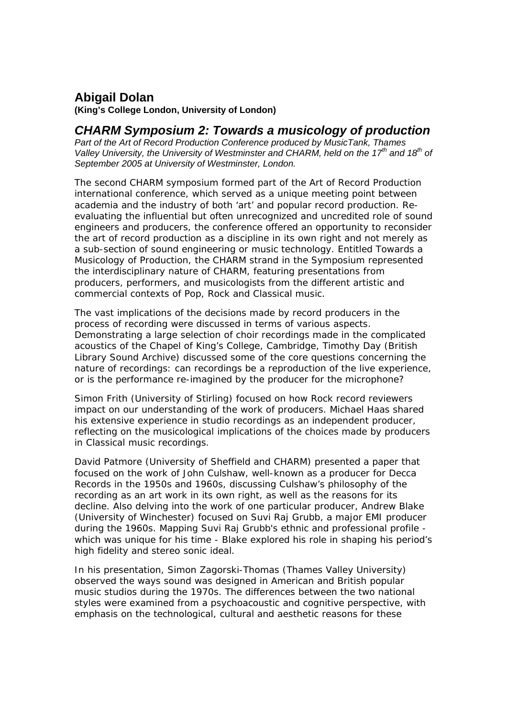## **Abigail Dolan**

**(King's College London, University of London)** 

## *CHARM Symposium 2: Towards a musicology of production*

*Part of the Art of Record Production Conference produced by MusicTank, Thames Valley University, the University of Westminster and CHARM, held on the 17th and 18th of September 2005 at University of Westminster, London.* 

The second CHARM symposium formed part of the *Art of Record Production* international conference, which served as a unique meeting point between academia and the industry of both 'art' and popular record production. Reevaluating the influential but often unrecognized and uncredited role of sound engineers and producers, the conference offered an opportunity to reconsider the art of record production as a discipline in its own right and not merely as a sub-section of sound engineering or music technology. Entitled *Towards a Musicology of Production*, the CHARM strand in the Symposium represented the interdisciplinary nature of CHARM, featuring presentations from producers, performers, and musicologists from the different artistic and commercial contexts of Pop, Rock and Classical music.

The vast implications of the decisions made by record producers in the process of recording were discussed in terms of various aspects. Demonstrating a large selection of choir recordings made in the complicated acoustics of the Chapel of King's College, Cambridge, Timothy Day (British Library Sound Archive) discussed some of the core questions concerning the nature of recordings: can recordings be a reproduction of the live experience, or is the performance re-imagined by the producer for the microphone?

Simon Frith (University of Stirling) focused on how Rock record reviewers impact on our understanding of the work of producers. Michael Haas shared his extensive experience in studio recordings as an independent producer, reflecting on the musicological implications of the choices made by producers in Classical music recordings.

David Patmore (University of Sheffield and CHARM) presented a paper that focused on the work of John Culshaw, well-known as a producer for Decca Records in the 1950s and 1960s, discussing Culshaw's philosophy of the recording as an art work in its own right, as well as the reasons for its decline. Also delving into the work of one particular producer, Andrew Blake (University of Winchester) focused on Suvi Raj Grubb, a major EMI producer during the 1960s. Mapping Suvi Raj Grubb's ethnic and professional profile which was unique for his time - Blake explored his role in shaping his period's high fidelity and stereo sonic ideal.

In his presentation, Simon Zagorski-Thomas (Thames Valley University) observed the ways sound was designed in American and British popular music studios during the 1970s. The differences between the two national styles were examined from a psychoacoustic and cognitive perspective, with emphasis on the technological, cultural and aesthetic reasons for these